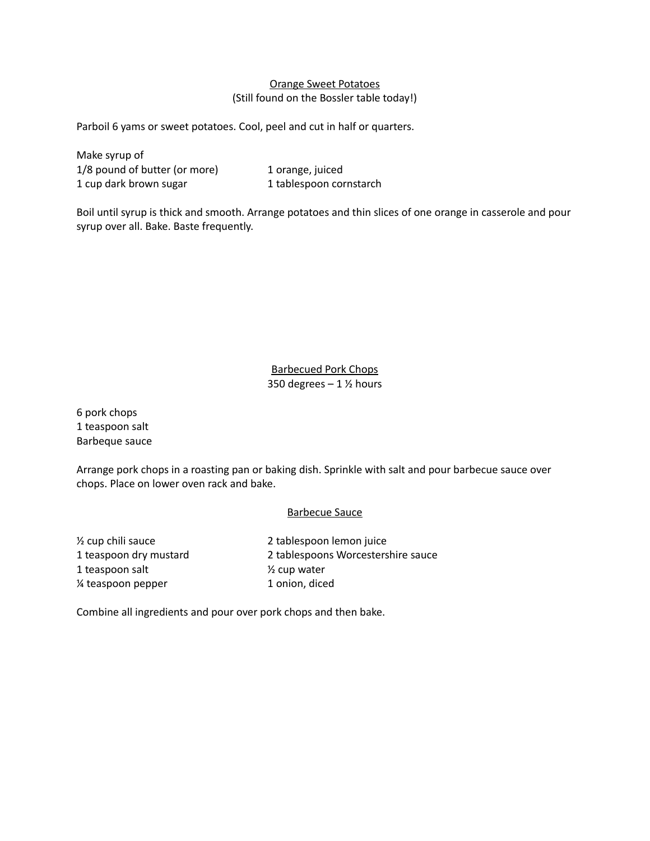## Orange Sweet Potatoes (Still found on the Bossler table today!)

Parboil 6 yams or sweet potatoes. Cool, peel and cut in half or quarters.

Make syrup of 1/8 pound of butter (or more) 1 orange, juiced 1 cup dark brown sugar 1 tablespoon cornstarch

Boil until syrup is thick and smooth. Arrange potatoes and thin slices of one orange in casserole and pour syrup over all. Bake. Baste frequently.

> Barbecued Pork Chops 350 degrees  $-1$  % hours

6 pork chops 1 teaspoon salt Barbeque sauce

Arrange pork chops in a roasting pan or baking dish. Sprinkle with salt and pour barbecue sauce over chops. Place on lower oven rack and bake.

## Barbecue Sauce

1 teaspoon salt  $\frac{1}{2}$  cup water % teaspoon pepper 1 onion, diced

½ cup chili sauce 2 tablespoon lemon juice 1 teaspoon dry mustard 2 tablespoons Worcestershire sauce

Combine all ingredients and pour over pork chops and then bake.